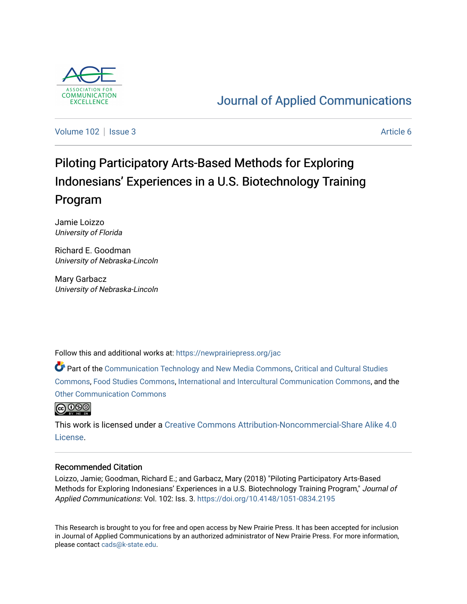

# [Journal of Applied Communications](https://newprairiepress.org/jac)

[Volume 102](https://newprairiepress.org/jac/vol102) | [Issue 3](https://newprairiepress.org/jac/vol102/iss3) Article 6

# Piloting Participatory Arts-Based Methods for Exploring Indonesians' Experiences in a U.S. Biotechnology Training Program

Jamie Loizzo University of Florida

Richard E. Goodman University of Nebraska-Lincoln

Mary Garbacz University of Nebraska-Lincoln

Follow this and additional works at: [https://newprairiepress.org/jac](https://newprairiepress.org/jac?utm_source=newprairiepress.org%2Fjac%2Fvol102%2Fiss3%2F6&utm_medium=PDF&utm_campaign=PDFCoverPages)

Part of the [Communication Technology and New Media Commons,](http://network.bepress.com/hgg/discipline/327?utm_source=newprairiepress.org%2Fjac%2Fvol102%2Fiss3%2F6&utm_medium=PDF&utm_campaign=PDFCoverPages) [Critical and Cultural Studies](http://network.bepress.com/hgg/discipline/328?utm_source=newprairiepress.org%2Fjac%2Fvol102%2Fiss3%2F6&utm_medium=PDF&utm_campaign=PDFCoverPages)  [Commons](http://network.bepress.com/hgg/discipline/328?utm_source=newprairiepress.org%2Fjac%2Fvol102%2Fiss3%2F6&utm_medium=PDF&utm_campaign=PDFCoverPages), [Food Studies Commons](http://network.bepress.com/hgg/discipline/1386?utm_source=newprairiepress.org%2Fjac%2Fvol102%2Fiss3%2F6&utm_medium=PDF&utm_campaign=PDFCoverPages), [International and Intercultural Communication Commons](http://network.bepress.com/hgg/discipline/331?utm_source=newprairiepress.org%2Fjac%2Fvol102%2Fiss3%2F6&utm_medium=PDF&utm_campaign=PDFCoverPages), and the [Other Communication Commons](http://network.bepress.com/hgg/discipline/339?utm_source=newprairiepress.org%2Fjac%2Fvol102%2Fiss3%2F6&utm_medium=PDF&utm_campaign=PDFCoverPages)



This work is licensed under a [Creative Commons Attribution-Noncommercial-Share Alike 4.0](https://creativecommons.org/licenses/by-nc-sa/4.0/) [License.](https://creativecommons.org/licenses/by-nc-sa/4.0/)

# Recommended Citation

Loizzo, Jamie; Goodman, Richard E.; and Garbacz, Mary (2018) "Piloting Participatory Arts-Based Methods for Exploring Indonesians' Experiences in a U.S. Biotechnology Training Program," Journal of Applied Communications: Vol. 102: Iss. 3. <https://doi.org/10.4148/1051-0834.2195>

This Research is brought to you for free and open access by New Prairie Press. It has been accepted for inclusion in Journal of Applied Communications by an authorized administrator of New Prairie Press. For more information, please contact [cads@k-state.edu.](mailto:cads@k-state.edu)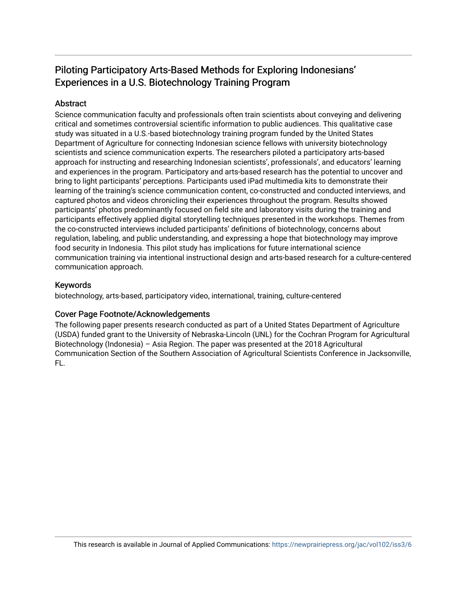# Piloting Participatory Arts-Based Methods for Exploring Indonesians' Experiences in a U.S. Biotechnology Training Program

# Abstract

Science communication faculty and professionals often train scientists about conveying and delivering critical and sometimes controversial scientific information to public audiences. This qualitative case study was situated in a U.S.-based biotechnology training program funded by the United States Department of Agriculture for connecting Indonesian science fellows with university biotechnology scientists and science communication experts. The researchers piloted a participatory arts-based approach for instructing and researching Indonesian scientists', professionals', and educators' learning and experiences in the program. Participatory and arts-based research has the potential to uncover and bring to light participants' perceptions. Participants used iPad multimedia kits to demonstrate their learning of the training's science communication content, co-constructed and conducted interviews, and captured photos and videos chronicling their experiences throughout the program. Results showed participants' photos predominantly focused on field site and laboratory visits during the training and participants effectively applied digital storytelling techniques presented in the workshops. Themes from the co-constructed interviews included participants' definitions of biotechnology, concerns about regulation, labeling, and public understanding, and expressing a hope that biotechnology may improve food security in Indonesia. This pilot study has implications for future international science communication training via intentional instructional design and arts-based research for a culture-centered communication approach.

# Keywords

biotechnology, arts-based, participatory video, international, training, culture-centered

# Cover Page Footnote/Acknowledgements

The following paper presents research conducted as part of a United States Department of Agriculture (USDA) funded grant to the University of Nebraska-Lincoln (UNL) for the Cochran Program for Agricultural Biotechnology (Indonesia) – Asia Region. The paper was presented at the 2018 Agricultural Communication Section of the Southern Association of Agricultural Scientists Conference in Jacksonville, FL.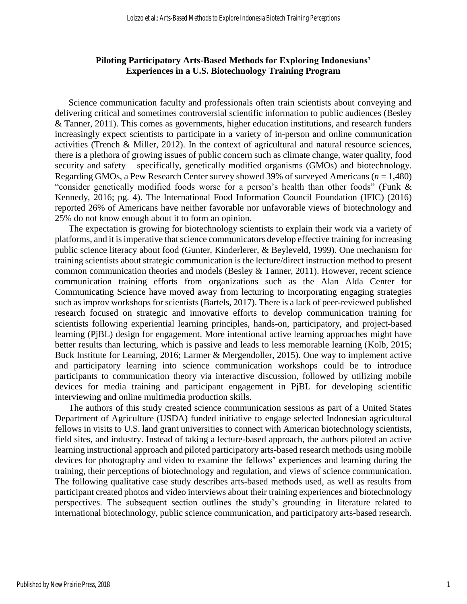# **Piloting Participatory Arts-Based Methods for Exploring Indonesians' Experiences in a U.S. Biotechnology Training Program**

Science communication faculty and professionals often train scientists about conveying and delivering critical and sometimes controversial scientific information to public audiences (Besley & Tanner, 2011). This comes as governments, higher education institutions, and research funders increasingly expect scientists to participate in a variety of in-person and online communication activities (Trench & Miller, 2012). In the context of agricultural and natural resource sciences, there is a plethora of growing issues of public concern such as climate change, water quality, food security and safety – specifically, genetically modified organisms (GMOs) and biotechnology. Regarding GMOs, a Pew Research Center survey showed 39% of surveyed Americans (*n* = 1,480) "consider genetically modified foods worse for a person's health than other foods" (Funk & Kennedy, 2016; pg. 4). The International Food Information Council Foundation (IFIC) (2016) reported 26% of Americans have neither favorable nor unfavorable views of biotechnology and 25% do not know enough about it to form an opinion.

The expectation is growing for biotechnology scientists to explain their work via a variety of platforms, and it is imperative that science communicators develop effective training for increasing public science literacy about food (Gunter, Kinderlerer, & Beyleveld, 1999). One mechanism for training scientists about strategic communication is the lecture/direct instruction method to present common communication theories and models (Besley & Tanner, 2011). However, recent science communication training efforts from organizations such as the Alan Alda Center for Communicating Science have moved away from lecturing to incorporating engaging strategies such as improv workshops for scientists (Bartels, 2017). There is a lack of peer-reviewed published research focused on strategic and innovative efforts to develop communication training for scientists following experiential learning principles, hands-on, participatory, and project-based learning (PjBL) design for engagement. More intentional active learning approaches might have better results than lecturing, which is passive and leads to less memorable learning (Kolb, 2015; Buck Institute for Learning, 2016; Larmer & Mergendoller, 2015). One way to implement active and participatory learning into science communication workshops could be to introduce participants to communication theory via interactive discussion, followed by utilizing mobile devices for media training and participant engagement in PjBL for developing scientific interviewing and online multimedia production skills.

The authors of this study created science communication sessions as part of a United States Department of Agriculture (USDA) funded initiative to engage selected Indonesian agricultural fellows in visits to U.S. land grant universities to connect with American biotechnology scientists, field sites, and industry. Instead of taking a lecture-based approach, the authors piloted an active learning instructional approach and piloted participatory arts-based research methods using mobile devices for photography and video to examine the fellows' experiences and learning during the training, their perceptions of biotechnology and regulation, and views of science communication. The following qualitative case study describes arts-based methods used, as well as results from participant created photos and video interviews about their training experiences and biotechnology perspectives. The subsequent section outlines the study's grounding in literature related to international biotechnology, public science communication, and participatory arts-based research.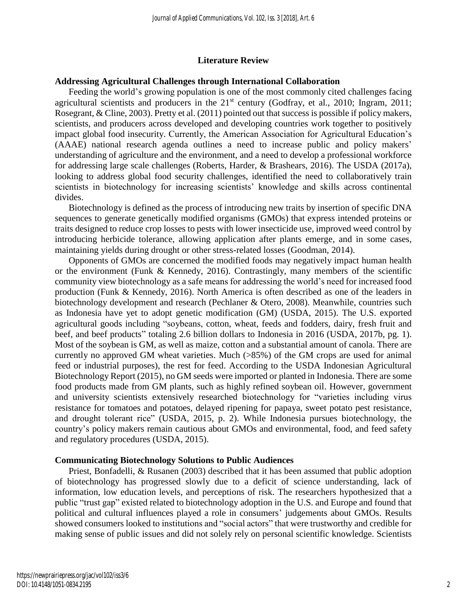#### **Literature Review**

#### **Addressing Agricultural Challenges through International Collaboration**

Feeding the world's growing population is one of the most commonly cited challenges facing agricultural scientists and producers in the  $21<sup>st</sup>$  century (Godfray, et al., 2010; Ingram, 2011; Rosegrant, & Cline, 2003). Pretty et al. (2011) pointed out that success is possible if policy makers, scientists, and producers across developed and developing countries work together to positively impact global food insecurity. Currently, the American Association for Agricultural Education's (AAAE) national research agenda outlines a need to increase public and policy makers' understanding of agriculture and the environment, and a need to develop a professional workforce for addressing large scale challenges (Roberts, Harder, & Brashears, 2016). The USDA (2017a), looking to address global food security challenges, identified the need to collaboratively train scientists in biotechnology for increasing scientists' knowledge and skills across continental divides.

Biotechnology is defined as the process of introducing new traits by insertion of specific DNA sequences to generate genetically modified organisms (GMOs) that express intended proteins or traits designed to reduce crop losses to pests with lower insecticide use, improved weed control by introducing herbicide tolerance, allowing application after plants emerge, and in some cases, maintaining yields during drought or other stress-related losses (Goodman, 2014).

Opponents of GMOs are concerned the modified foods may negatively impact human health or the environment (Funk & Kennedy, 2016). Contrastingly, many members of the scientific community view biotechnology as a safe means for addressing the world's need for increased food production (Funk & Kennedy, 2016). North America is often described as one of the leaders in biotechnology development and research (Pechlaner & Otero, 2008). Meanwhile, countries such as Indonesia have yet to adopt genetic modification (GM) (USDA, 2015). The U.S. exported agricultural goods including "soybeans, cotton, wheat, feeds and fodders, dairy, fresh fruit and beef, and beef products" totaling 2.6 billion dollars to Indonesia in 2016 (USDA, 2017b, pg. 1). Most of the soybean is GM, as well as maize, cotton and a substantial amount of canola. There are currently no approved GM wheat varieties. Much (>85%) of the GM crops are used for animal feed or industrial purposes), the rest for feed. According to the USDA Indonesian Agricultural Biotechnology Report (2015), no GM seeds were imported or planted in Indonesia. There are some food products made from GM plants, such as highly refined soybean oil. However, government and university scientists extensively researched biotechnology for "varieties including virus resistance for tomatoes and potatoes, delayed ripening for papaya, sweet potato pest resistance, and drought tolerant rice" (USDA, 2015, p. 2). While Indonesia pursues biotechnology, the country's policy makers remain cautious about GMOs and environmental, food, and feed safety and regulatory procedures (USDA, 2015).

#### **Communicating Biotechnology Solutions to Public Audiences**

Priest, Bonfadelli, & Rusanen (2003) described that it has been assumed that public adoption of biotechnology has progressed slowly due to a deficit of science understanding, lack of information, low education levels, and perceptions of risk. The researchers hypothesized that a public "trust gap" existed related to biotechnology adoption in the U.S. and Europe and found that political and cultural influences played a role in consumers' judgements about GMOs. Results showed consumers looked to institutions and "social actors" that were trustworthy and credible for making sense of public issues and did not solely rely on personal scientific knowledge. Scientists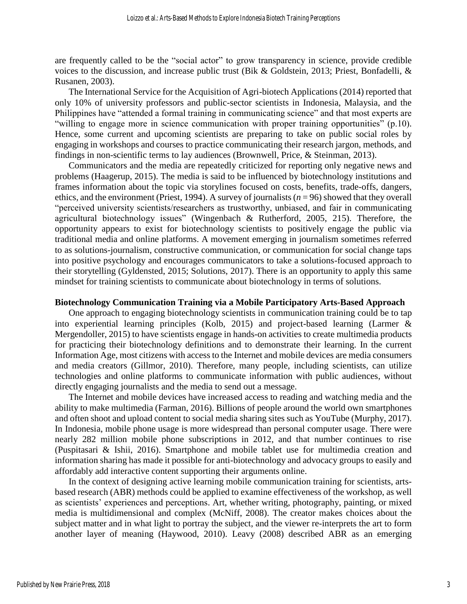are frequently called to be the "social actor" to grow transparency in science, provide credible voices to the discussion, and increase public trust (Bik & Goldstein, 2013; Priest, Bonfadelli, & Rusanen, 2003).

The International Service for the Acquisition of Agri-biotech Applications (2014) reported that only 10% of university professors and public-sector scientists in Indonesia, Malaysia, and the Philippines have "attended a formal training in communicating science" and that most experts are "willing to engage more in science communication with proper training opportunities" (p.10). Hence, some current and upcoming scientists are preparing to take on public social roles by engaging in workshops and courses to practice communicating their research jargon, methods, and findings in non-scientific terms to lay audiences (Brownwell, Price, & Steinman, 2013).

Communicators and the media are repeatedly criticized for reporting only negative news and problems (Haagerup, 2015). The media is said to be influenced by biotechnology institutions and frames information about the topic via storylines focused on costs, benefits, trade-offs, dangers, ethics, and the environment (Priest, 1994). A survey of journalists  $(n = 96)$  showed that they overall "perceived university scientists/researchers as trustworthy, unbiased, and fair in communicating agricultural biotechnology issues" (Wingenbach & Rutherford, 2005, 215). Therefore, the opportunity appears to exist for biotechnology scientists to positively engage the public via traditional media and online platforms. A movement emerging in journalism sometimes referred to as solutions-journalism, constructive communication, or communication for social change taps into positive psychology and encourages communicators to take a solutions-focused approach to their storytelling (Gyldensted, 2015; Solutions, 2017). There is an opportunity to apply this same mindset for training scientists to communicate about biotechnology in terms of solutions.

#### **Biotechnology Communication Training via a Mobile Participatory Arts-Based Approach**

One approach to engaging biotechnology scientists in communication training could be to tap into experiential learning principles (Kolb, 2015) and project-based learning (Larmer & Mergendoller, 2015) to have scientists engage in hands-on activities to create multimedia products for practicing their biotechnology definitions and to demonstrate their learning. In the current Information Age, most citizens with access to the Internet and mobile devices are media consumers and media creators (Gillmor, 2010). Therefore, many people, including scientists, can utilize technologies and online platforms to communicate information with public audiences, without directly engaging journalists and the media to send out a message.

The Internet and mobile devices have increased access to reading and watching media and the ability to make multimedia (Farman, 2016). Billions of people around the world own smartphones and often shoot and upload content to social media sharing sites such as YouTube (Murphy, 2017). In Indonesia, mobile phone usage is more widespread than personal computer usage. There were nearly 282 million mobile phone subscriptions in 2012, and that number continues to rise (Puspitasari & Ishii, 2016). Smartphone and mobile tablet use for multimedia creation and information sharing has made it possible for anti-biotechnology and advocacy groups to easily and affordably add interactive content supporting their arguments online.

In the context of designing active learning mobile communication training for scientists, artsbased research (ABR) methods could be applied to examine effectiveness of the workshop, as well as scientists' experiences and perceptions. Art, whether writing, photography, painting, or mixed media is multidimensional and complex (McNiff, 2008). The creator makes choices about the subject matter and in what light to portray the subject, and the viewer re-interprets the art to form another layer of meaning (Haywood, 2010). Leavy (2008) described ABR as an emerging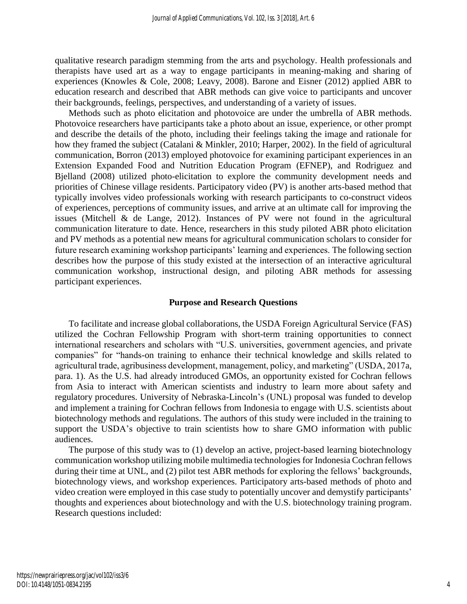qualitative research paradigm stemming from the arts and psychology. Health professionals and therapists have used art as a way to engage participants in meaning-making and sharing of experiences (Knowles & Cole, 2008; Leavy, 2008). Barone and Eisner (2012) applied ABR to education research and described that ABR methods can give voice to participants and uncover their backgrounds, feelings, perspectives, and understanding of a variety of issues.

Methods such as photo elicitation and photovoice are under the umbrella of ABR methods. Photovoice researchers have participants take a photo about an issue, experience, or other prompt and describe the details of the photo, including their feelings taking the image and rationale for how they framed the subject (Catalani & Minkler, 2010; Harper, 2002). In the field of agricultural communication, Borron (2013) employed photovoice for examining participant experiences in an Extension Expanded Food and Nutrition Education Program (EFNEP), and Rodriguez and Bjelland (2008) utilized photo-elicitation to explore the community development needs and priorities of Chinese village residents. Participatory video (PV) is another arts-based method that typically involves video professionals working with research participants to co-construct videos of experiences, perceptions of community issues, and arrive at an ultimate call for improving the issues (Mitchell & de Lange, 2012). Instances of PV were not found in the agricultural communication literature to date. Hence, researchers in this study piloted ABR photo elicitation and PV methods as a potential new means for agricultural communication scholars to consider for future research examining workshop participants' learning and experiences. The following section describes how the purpose of this study existed at the intersection of an interactive agricultural communication workshop, instructional design, and piloting ABR methods for assessing participant experiences.

#### **Purpose and Research Questions**

To facilitate and increase global collaborations, the USDA Foreign Agricultural Service (FAS) utilized the Cochran Fellowship Program with short-term training opportunities to connect international researchers and scholars with "U.S. universities, government agencies, and private companies" for "hands-on training to enhance their technical knowledge and skills related to agricultural trade, agribusiness development, management, policy, and marketing" (USDA, 2017a, para. 1). As the U.S. had already introduced GMOs, an opportunity existed for Cochran fellows from Asia to interact with American scientists and industry to learn more about safety and regulatory procedures. University of Nebraska-Lincoln's (UNL) proposal was funded to develop and implement a training for Cochran fellows from Indonesia to engage with U.S. scientists about biotechnology methods and regulations. The authors of this study were included in the training to support the USDA's objective to train scientists how to share GMO information with public audiences.

The purpose of this study was to (1) develop an active, project-based learning biotechnology communication workshop utilizing mobile multimedia technologies for Indonesia Cochran fellows during their time at UNL, and (2) pilot test ABR methods for exploring the fellows' backgrounds, biotechnology views, and workshop experiences. Participatory arts-based methods of photo and video creation were employed in this case study to potentially uncover and demystify participants' thoughts and experiences about biotechnology and with the U.S. biotechnology training program. Research questions included: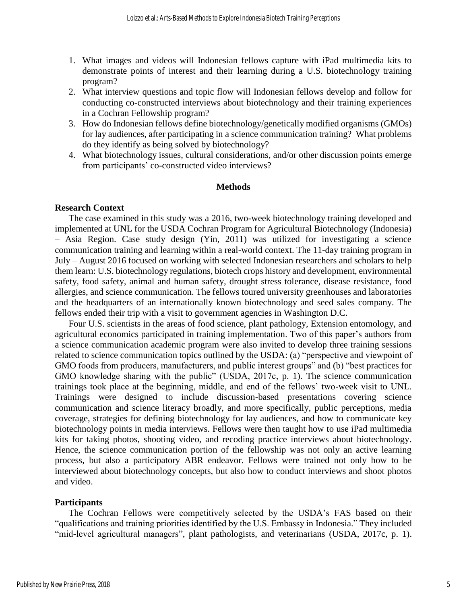- 1. What images and videos will Indonesian fellows capture with iPad multimedia kits to demonstrate points of interest and their learning during a U.S. biotechnology training program?
- 2. What interview questions and topic flow will Indonesian fellows develop and follow for conducting co-constructed interviews about biotechnology and their training experiences in a Cochran Fellowship program?
- 3. How do Indonesian fellows define biotechnology/genetically modified organisms (GMOs) for lay audiences, after participating in a science communication training? What problems do they identify as being solved by biotechnology?
- 4. What biotechnology issues, cultural considerations, and/or other discussion points emerge from participants' co-constructed video interviews?

#### **Methods**

#### **Research Context**

The case examined in this study was a 2016, two-week biotechnology training developed and implemented at UNL for the USDA Cochran Program for Agricultural Biotechnology (Indonesia) – Asia Region. Case study design (Yin, 2011) was utilized for investigating a science communication training and learning within a real-world context. The 11-day training program in July – August 2016 focused on working with selected Indonesian researchers and scholars to help them learn: U.S. biotechnology regulations, biotech crops history and development, environmental safety, food safety, animal and human safety, drought stress tolerance, disease resistance, food allergies, and science communication. The fellows toured university greenhouses and laboratories and the headquarters of an internationally known biotechnology and seed sales company. The fellows ended their trip with a visit to government agencies in Washington D.C.

Four U.S. scientists in the areas of food science, plant pathology, Extension entomology, and agricultural economics participated in training implementation. Two of this paper's authors from a science communication academic program were also invited to develop three training sessions related to science communication topics outlined by the USDA: (a) "perspective and viewpoint of GMO foods from producers, manufacturers, and public interest groups" and (b) "best practices for GMO knowledge sharing with the public" (USDA, 2017c, p. 1). The science communication trainings took place at the beginning, middle, and end of the fellows' two-week visit to UNL. Trainings were designed to include discussion-based presentations covering science communication and science literacy broadly, and more specifically, public perceptions, media coverage, strategies for defining biotechnology for lay audiences, and how to communicate key biotechnology points in media interviews. Fellows were then taught how to use iPad multimedia kits for taking photos, shooting video, and recoding practice interviews about biotechnology. Hence, the science communication portion of the fellowship was not only an active learning process, but also a participatory ABR endeavor. Fellows were trained not only how to be interviewed about biotechnology concepts, but also how to conduct interviews and shoot photos and video.

#### **Participants**

The Cochran Fellows were competitively selected by the USDA's FAS based on their "qualifications and training priorities identified by the U.S. Embassy in Indonesia." They included "mid-level agricultural managers", plant pathologists, and veterinarians (USDA, 2017c, p. 1).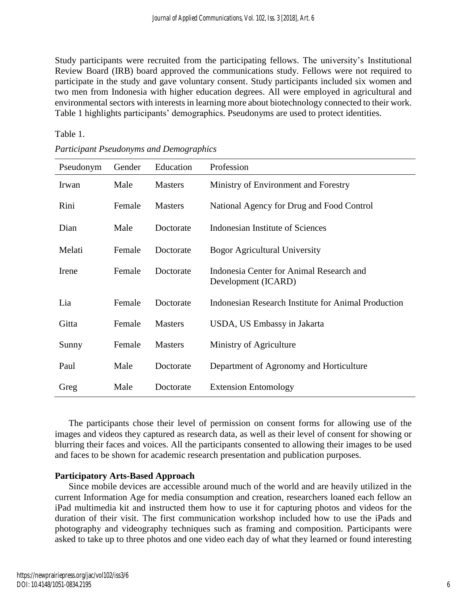Study participants were recruited from the participating fellows. The university's Institutional Review Board (IRB) board approved the communications study. Fellows were not required to participate in the study and gave voluntary consent. Study participants included six women and two men from Indonesia with higher education degrees. All were employed in agricultural and environmental sectors with interests in learning more about biotechnology connected to their work. Table 1 highlights participants' demographics. Pseudonyms are used to protect identities.

# Table 1.

| Pseudonym | Gender | Education      | Profession                                                      |  |
|-----------|--------|----------------|-----------------------------------------------------------------|--|
| Irwan     | Male   | <b>Masters</b> | Ministry of Environment and Forestry                            |  |
| Rini      | Female | <b>Masters</b> | National Agency for Drug and Food Control                       |  |
| Dian      | Male   | Doctorate      | Indonesian Institute of Sciences                                |  |
| Melati    | Female | Doctorate      | <b>Bogor Agricultural University</b>                            |  |
| Irene     | Female | Doctorate      | Indonesia Center for Animal Research and<br>Development (ICARD) |  |
| Lia       | Female | Doctorate      | Indonesian Research Institute for Animal Production             |  |
| Gitta     | Female | <b>Masters</b> | USDA, US Embassy in Jakarta                                     |  |
| Sunny     | Female | <b>Masters</b> | Ministry of Agriculture                                         |  |
| Paul      | Male   | Doctorate      | Department of Agronomy and Horticulture                         |  |
| Greg      | Male   | Doctorate      | <b>Extension Entomology</b>                                     |  |

*Participant Pseudonyms and Demographics*

The participants chose their level of permission on consent forms for allowing use of the images and videos they captured as research data, as well as their level of consent for showing or blurring their faces and voices. All the participants consented to allowing their images to be used and faces to be shown for academic research presentation and publication purposes.

# **Participatory Arts-Based Approach**

Since mobile devices are accessible around much of the world and are heavily utilized in the current Information Age for media consumption and creation, researchers loaned each fellow an iPad multimedia kit and instructed them how to use it for capturing photos and videos for the duration of their visit. The first communication workshop included how to use the iPads and photography and videography techniques such as framing and composition. Participants were asked to take up to three photos and one video each day of what they learned or found interesting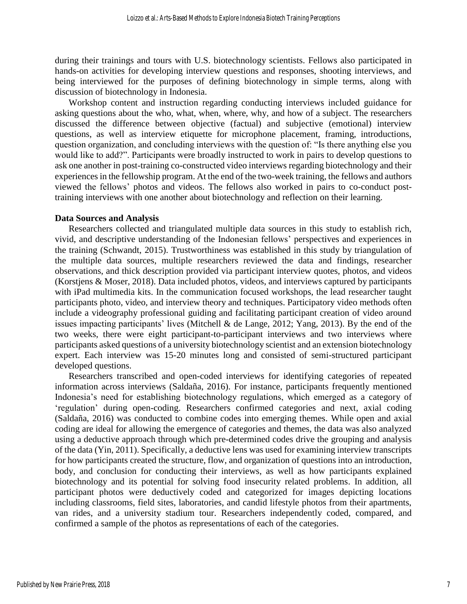during their trainings and tours with U.S. biotechnology scientists. Fellows also participated in hands-on activities for developing interview questions and responses, shooting interviews, and being interviewed for the purposes of defining biotechnology in simple terms, along with discussion of biotechnology in Indonesia.

Workshop content and instruction regarding conducting interviews included guidance for asking questions about the who, what, when, where, why, and how of a subject. The researchers discussed the difference between objective (factual) and subjective (emotional) interview questions, as well as interview etiquette for microphone placement, framing, introductions, question organization, and concluding interviews with the question of: "Is there anything else you would like to add?". Participants were broadly instructed to work in pairs to develop questions to ask one another in post-training co-constructed video interviews regarding biotechnology and their experiences in the fellowship program. At the end of the two-week training, the fellows and authors viewed the fellows' photos and videos. The fellows also worked in pairs to co-conduct posttraining interviews with one another about biotechnology and reflection on their learning.

#### **Data Sources and Analysis**

Researchers collected and triangulated multiple data sources in this study to establish rich, vivid, and descriptive understanding of the Indonesian fellows' perspectives and experiences in the training (Schwandt, 2015). Trustworthiness was established in this study by triangulation of the multiple data sources, multiple researchers reviewed the data and findings, researcher observations, and thick description provided via participant interview quotes, photos, and videos (Korstjens & Moser, 2018). Data included photos, videos, and interviews captured by participants with iPad multimedia kits. In the communication focused workshops, the lead researcher taught participants photo, video, and interview theory and techniques. Participatory video methods often include a videography professional guiding and facilitating participant creation of video around issues impacting participants' lives (Mitchell & de Lange, 2012; Yang, 2013). By the end of the two weeks, there were eight participant-to-participant interviews and two interviews where participants asked questions of a university biotechnology scientist and an extension biotechnology expert. Each interview was 15-20 minutes long and consisted of semi-structured participant developed questions.

Researchers transcribed and open-coded interviews for identifying categories of repeated information across interviews (Saldaña, 2016). For instance, participants frequently mentioned Indonesia's need for establishing biotechnology regulations, which emerged as a category of 'regulation' during open-coding. Researchers confirmed categories and next, axial coding (Saldaña, 2016) was conducted to combine codes into emerging themes. While open and axial coding are ideal for allowing the emergence of categories and themes, the data was also analyzed using a deductive approach through which pre-determined codes drive the grouping and analysis of the data (Yin, 2011). Specifically, a deductive lens was used for examining interview transcripts for how participants created the structure, flow, and organization of questions into an introduction, body, and conclusion for conducting their interviews, as well as how participants explained biotechnology and its potential for solving food insecurity related problems. In addition, all participant photos were deductively coded and categorized for images depicting locations including classrooms, field sites, laboratories, and candid lifestyle photos from their apartments, van rides, and a university stadium tour. Researchers independently coded, compared, and confirmed a sample of the photos as representations of each of the categories.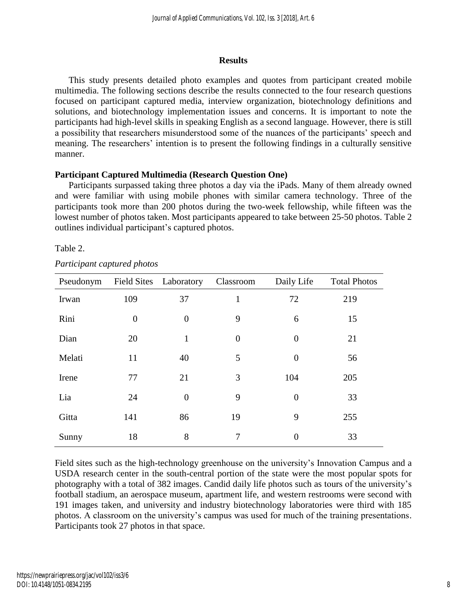#### **Results**

This study presents detailed photo examples and quotes from participant created mobile multimedia. The following sections describe the results connected to the four research questions focused on participant captured media, interview organization, biotechnology definitions and solutions, and biotechnology implementation issues and concerns. It is important to note the participants had high-level skills in speaking English as a second language. However, there is still a possibility that researchers misunderstood some of the nuances of the participants' speech and meaning. The researchers' intention is to present the following findings in a culturally sensitive manner.

# **Participant Captured Multimedia (Research Question One)**

Participants surpassed taking three photos a day via the iPads. Many of them already owned and were familiar with using mobile phones with similar camera technology. Three of the participants took more than 200 photos during the two-week fellowship, while fifteen was the lowest number of photos taken. Most participants appeared to take between 25-50 photos. Table 2 outlines individual participant's captured photos.

# Table 2.

| Pseudonym |                | Field Sites Laboratory | Classroom      | Daily Life     | <b>Total Photos</b> |
|-----------|----------------|------------------------|----------------|----------------|---------------------|
| Irwan     | 109            | 37                     | 1              | 72             | 219                 |
| Rini      | $\overline{0}$ | $\theta$               | 9              | 6              | 15                  |
| Dian      | 20             | $\mathbf{1}$           | $\overline{0}$ | $\overline{0}$ | 21                  |
| Melati    | 11             | 40                     | 5              | $\overline{0}$ | 56                  |
| Irene     | 77             | 21                     | 3              | 104            | 205                 |
| Lia       | 24             | $\theta$               | 9              | $\overline{0}$ | 33                  |
| Gitta     | 141            | 86                     | 19             | 9              | 255                 |
| Sunny     | 18             | 8                      | 7              | $\overline{0}$ | 33                  |

Field sites such as the high-technology greenhouse on the university's Innovation Campus and a USDA research center in the south-central portion of the state were the most popular spots for photography with a total of 382 images. Candid daily life photos such as tours of the university's football stadium, an aerospace museum, apartment life, and western restrooms were second with 191 images taken, and university and industry biotechnology laboratories were third with 185 photos. A classroom on the university's campus was used for much of the training presentations. Participants took 27 photos in that space.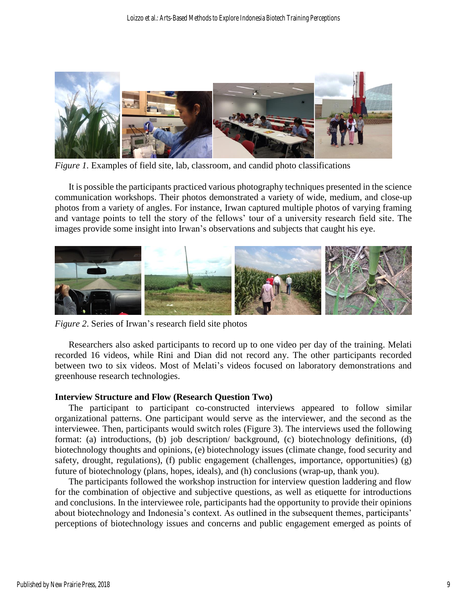

*Figure 1.* Examples of field site, lab, classroom, and candid photo classifications

It is possible the participants practiced various photography techniques presented in the science communication workshops. Their photos demonstrated a variety of wide, medium, and close-up photos from a variety of angles. For instance, Irwan captured multiple photos of varying framing and vantage points to tell the story of the fellows' tour of a university research field site. The images provide some insight into Irwan's observations and subjects that caught his eye.



*Figure 2*. Series of Irwan's research field site photos

Researchers also asked participants to record up to one video per day of the training. Melati recorded 16 videos, while Rini and Dian did not record any. The other participants recorded between two to six videos. Most of Melati's videos focused on laboratory demonstrations and greenhouse research technologies.

#### **Interview Structure and Flow (Research Question Two)**

The participant to participant co-constructed interviews appeared to follow similar organizational patterns. One participant would serve as the interviewer, and the second as the interviewee. Then, participants would switch roles (Figure 3). The interviews used the following format: (a) introductions, (b) job description/ background, (c) biotechnology definitions, (d) biotechnology thoughts and opinions, (e) biotechnology issues (climate change, food security and safety, drought, regulations), (f) public engagement (challenges, importance, opportunities) (g) future of biotechnology (plans, hopes, ideals), and (h) conclusions (wrap-up, thank you).

The participants followed the workshop instruction for interview question laddering and flow for the combination of objective and subjective questions, as well as etiquette for introductions and conclusions. In the interviewee role, participants had the opportunity to provide their opinions about biotechnology and Indonesia's context. As outlined in the subsequent themes, participants' perceptions of biotechnology issues and concerns and public engagement emerged as points of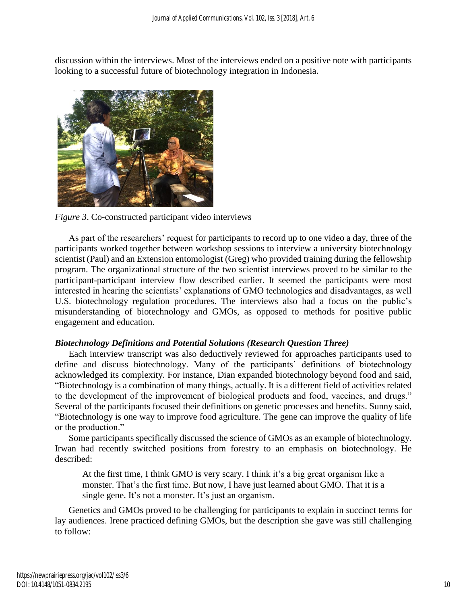discussion within the interviews. Most of the interviews ended on a positive note with participants looking to a successful future of biotechnology integration in Indonesia.



*Figure 3*. Co-constructed participant video interviews

As part of the researchers' request for participants to record up to one video a day, three of the participants worked together between workshop sessions to interview a university biotechnology scientist (Paul) and an Extension entomologist (Greg) who provided training during the fellowship program. The organizational structure of the two scientist interviews proved to be similar to the participant-participant interview flow described earlier. It seemed the participants were most interested in hearing the scientists' explanations of GMO technologies and disadvantages, as well U.S. biotechnology regulation procedures. The interviews also had a focus on the public's misunderstanding of biotechnology and GMOs, as opposed to methods for positive public engagement and education.

# *Biotechnology Definitions and Potential Solutions (Research Question Three)*

Each interview transcript was also deductively reviewed for approaches participants used to define and discuss biotechnology. Many of the participants' definitions of biotechnology acknowledged its complexity. For instance, Dian expanded biotechnology beyond food and said, "Biotechnology is a combination of many things, actually. It is a different field of activities related to the development of the improvement of biological products and food, vaccines, and drugs." Several of the participants focused their definitions on genetic processes and benefits. Sunny said, "Biotechnology is one way to improve food agriculture. The gene can improve the quality of life or the production."

Some participants specifically discussed the science of GMOs as an example of biotechnology. Irwan had recently switched positions from forestry to an emphasis on biotechnology. He described:

At the first time, I think GMO is very scary. I think it's a big great organism like a monster. That's the first time. But now, I have just learned about GMO. That it is a single gene. It's not a monster. It's just an organism.

Genetics and GMOs proved to be challenging for participants to explain in succinct terms for lay audiences. Irene practiced defining GMOs, but the description she gave was still challenging to follow: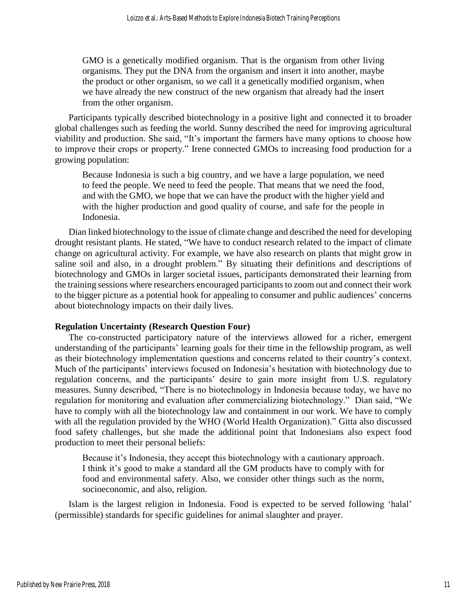GMO is a genetically modified organism. That is the organism from other living organisms. They put the DNA from the organism and insert it into another, maybe the product or other organism, so we call it a genetically modified organism, when we have already the new construct of the new organism that already had the insert from the other organism.

Participants typically described biotechnology in a positive light and connected it to broader global challenges such as feeding the world. Sunny described the need for improving agricultural viability and production. She said, "It's important the farmers have many options to choose how to improve their crops or property." Irene connected GMOs to increasing food production for a growing population:

Because Indonesia is such a big country, and we have a large population, we need to feed the people. We need to feed the people. That means that we need the food, and with the GMO, we hope that we can have the product with the higher yield and with the higher production and good quality of course, and safe for the people in Indonesia.

Dian linked biotechnology to the issue of climate change and described the need for developing drought resistant plants. He stated, "We have to conduct research related to the impact of climate change on agricultural activity. For example, we have also research on plants that might grow in saline soil and also, in a drought problem." By situating their definitions and descriptions of biotechnology and GMOs in larger societal issues, participants demonstrated their learning from the training sessions where researchers encouraged participants to zoom out and connect their work to the bigger picture as a potential hook for appealing to consumer and public audiences' concerns about biotechnology impacts on their daily lives.

# **Regulation Uncertainty (Research Question Four)**

The co-constructed participatory nature of the interviews allowed for a richer, emergent understanding of the participants' learning goals for their time in the fellowship program, as well as their biotechnology implementation questions and concerns related to their country's context. Much of the participants' interviews focused on Indonesia's hesitation with biotechnology due to regulation concerns, and the participants' desire to gain more insight from U.S. regulatory measures. Sunny described, "There is no biotechnology in Indonesia because today, we have no regulation for monitoring and evaluation after commercializing biotechnology." Dian said, "We have to comply with all the biotechnology law and containment in our work. We have to comply with all the regulation provided by the WHO (World Health Organization)." Gitta also discussed food safety challenges, but she made the additional point that Indonesians also expect food production to meet their personal beliefs:

Because it's Indonesia, they accept this biotechnology with a cautionary approach. I think it's good to make a standard all the GM products have to comply with for food and environmental safety. Also, we consider other things such as the norm, socioeconomic, and also, religion.

Islam is the largest religion in Indonesia. Food is expected to be served following 'halal' (permissible) standards for specific guidelines for animal slaughter and prayer.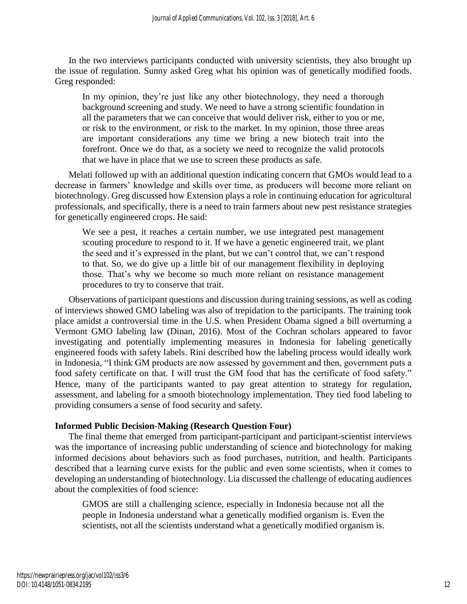In the two interviews participants conducted with university scientists, they also brought up the issue of regulation. Sunny asked Greg what his opinion was of genetically modified foods. Greg responded:

In my opinion, they're just like any other biotechnology, they need a thorough background screening and study. We need to have a strong scientific foundation in all the parameters that we can conceive that would deliver risk, either to you or me, or risk to the environment, or risk to the market. In my opinion, those three areas are important considerations any time we bring a new biotech trait into the forefront. Once we do that, as a society we need to recognize the valid protocols that we have in place that we use to screen these products as safe.

Melati followed up with an additional question indicating concern that GMOs would lead to a decrease in farmers' knowledge and skills over time, as producers will become more reliant on biotechnology. Greg discussed how Extension plays a role in continuing education for agricultural professionals, and specifically, there is a need to train farmers about new pest resistance strategies for genetically engineered crops. He said:

We see a pest, it reaches a certain number, we use integrated pest management scouting procedure to respond to it. If we have a genetic engineered trait, we plant the seed and it's expressed in the plant, but we can't control that, we can't respond to that. So, we do give up a little bit of our management flexibility in deploying those. That's why we become so much more reliant on resistance management procedures to try to conserve that trait.

Observations of participant questions and discussion during training sessions, as well as coding of interviews showed GMO labeling was also of trepidation to the participants. The training took place amidst a controversial time in the U.S. when President Obama signed a bill overturning a Vermont GMO labeling law (Dinan, 2016). Most of the Cochran scholars appeared to favor investigating and potentially implementing measures in Indonesia for labeling genetically engineered foods with safety labels. Rini described how the labeling process would ideally work in Indonesia, "I think GM products are now assessed by government and then, government puts a food safety certificate on that. I will trust the GM food that has the certificate of food safety." Hence, many of the participants wanted to pay great attention to strategy for regulation, assessment, and labeling for a smooth biotechnology implementation. They tied food labeling to providing consumers a sense of food security and safety.

# **Informed Public Decision-Making (Research Question Four)**

The final theme that emerged from participant-participant and participant-scientist interviews was the importance of increasing public understanding of science and biotechnology for making informed decisions about behaviors such as food purchases, nutrition, and health. Participants described that a learning curve exists for the public and even some scientists, when it comes to developing an understanding of biotechnology. Lia discussed the challenge of educating audiences about the complexities of food science:

GMOS are still a challenging science, especially in Indonesia because not all the people in Indonesia understand what a genetically modified organism is. Even the scientists, not all the scientists understand what a genetically modified organism is.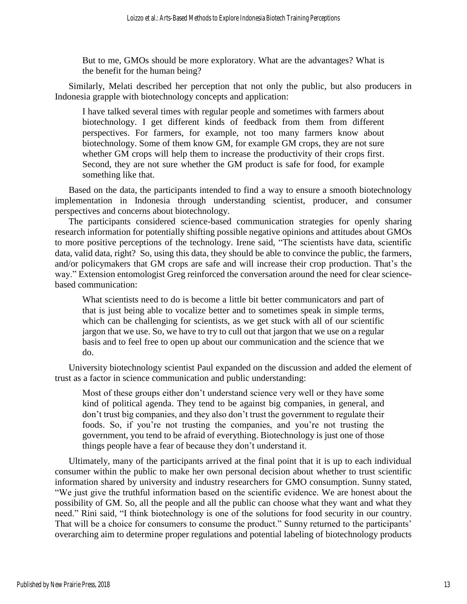But to me, GMOs should be more exploratory. What are the advantages? What is the benefit for the human being?

Similarly, Melati described her perception that not only the public, but also producers in Indonesia grapple with biotechnology concepts and application:

I have talked several times with regular people and sometimes with farmers about biotechnology. I get different kinds of feedback from them from different perspectives. For farmers, for example, not too many farmers know about biotechnology. Some of them know GM, for example GM crops, they are not sure whether GM crops will help them to increase the productivity of their crops first. Second, they are not sure whether the GM product is safe for food, for example something like that.

Based on the data, the participants intended to find a way to ensure a smooth biotechnology implementation in Indonesia through understanding scientist, producer, and consumer perspectives and concerns about biotechnology.

The participants considered science-based communication strategies for openly sharing research information for potentially shifting possible negative opinions and attitudes about GMOs to more positive perceptions of the technology. Irene said, "The scientists have data, scientific data, valid data, right? So, using this data, they should be able to convince the public, the farmers, and/or policymakers that GM crops are safe and will increase their crop production. That's the way." Extension entomologist Greg reinforced the conversation around the need for clear sciencebased communication:

What scientists need to do is become a little bit better communicators and part of that is just being able to vocalize better and to sometimes speak in simple terms, which can be challenging for scientists, as we get stuck with all of our scientific jargon that we use. So, we have to try to cull out that jargon that we use on a regular basis and to feel free to open up about our communication and the science that we do.

University biotechnology scientist Paul expanded on the discussion and added the element of trust as a factor in science communication and public understanding:

Most of these groups either don't understand science very well or they have some kind of political agenda. They tend to be against big companies, in general, and don't trust big companies, and they also don't trust the government to regulate their foods. So, if you're not trusting the companies, and you're not trusting the government, you tend to be afraid of everything. Biotechnology is just one of those things people have a fear of because they don't understand it.

Ultimately, many of the participants arrived at the final point that it is up to each individual consumer within the public to make her own personal decision about whether to trust scientific information shared by university and industry researchers for GMO consumption. Sunny stated, "We just give the truthful information based on the scientific evidence. We are honest about the possibility of GM. So, all the people and all the public can choose what they want and what they need." Rini said, "I think biotechnology is one of the solutions for food security in our country. That will be a choice for consumers to consume the product." Sunny returned to the participants' overarching aim to determine proper regulations and potential labeling of biotechnology products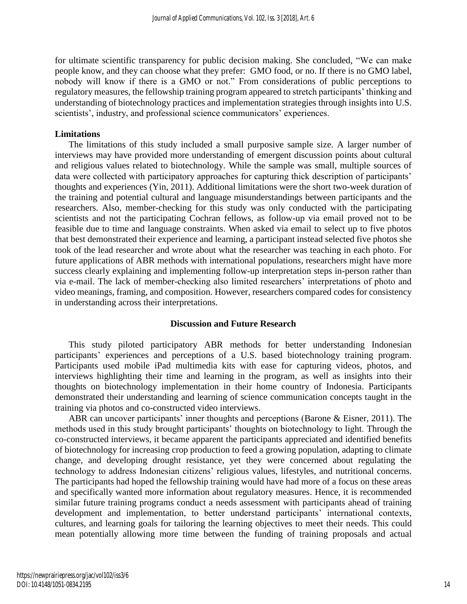for ultimate scientific transparency for public decision making. She concluded, "We can make people know, and they can choose what they prefer: GMO food, or no. If there is no GMO label, nobody will know if there is a GMO or not." From considerations of public perceptions to regulatory measures, the fellowship training program appeared to stretch participants' thinking and understanding of biotechnology practices and implementation strategies through insights into U.S. scientists', industry, and professional science communicators' experiences.

### **Limitations**

The limitations of this study included a small purposive sample size. A larger number of interviews may have provided more understanding of emergent discussion points about cultural and religious values related to biotechnology. While the sample was small, multiple sources of data were collected with participatory approaches for capturing thick description of participants' thoughts and experiences (Yin, 2011). Additional limitations were the short two-week duration of the training and potential cultural and language misunderstandings between participants and the researchers. Also, member-checking for this study was only conducted with the participating scientists and not the participating Cochran fellows, as follow-up via email proved not to be feasible due to time and language constraints. When asked via email to select up to five photos that best demonstrated their experience and learning, a participant instead selected five photos she took of the lead researcher and wrote about what the researcher was teaching in each photo. For future applications of ABR methods with international populations, researchers might have more success clearly explaining and implementing follow-up interpretation steps in-person rather than via e-mail. The lack of member-checking also limited researchers' interpretations of photo and video meanings, framing, and composition. However, researchers compared codes for consistency in understanding across their interpretations.

#### **Discussion and Future Research**

This study piloted participatory ABR methods for better understanding Indonesian participants' experiences and perceptions of a U.S. based biotechnology training program. Participants used mobile iPad multimedia kits with ease for capturing videos, photos, and interviews highlighting their time and learning in the program, as well as insights into their thoughts on biotechnology implementation in their home country of Indonesia. Participants demonstrated their understanding and learning of science communication concepts taught in the training via photos and co-constructed video interviews.

ABR can uncover participants' inner thoughts and perceptions (Barone & Eisner, 2011). The methods used in this study brought participants' thoughts on biotechnology to light. Through the co-constructed interviews, it became apparent the participants appreciated and identified benefits of biotechnology for increasing crop production to feed a growing population, adapting to climate change, and developing drought resistance, yet they were concerned about regulating the technology to address Indonesian citizens' religious values, lifestyles, and nutritional concerns. The participants had hoped the fellowship training would have had more of a focus on these areas and specifically wanted more information about regulatory measures. Hence, it is recommended similar future training programs conduct a needs assessment with participants ahead of training development and implementation, to better understand participants' international contexts, cultures, and learning goals for tailoring the learning objectives to meet their needs. This could mean potentially allowing more time between the funding of training proposals and actual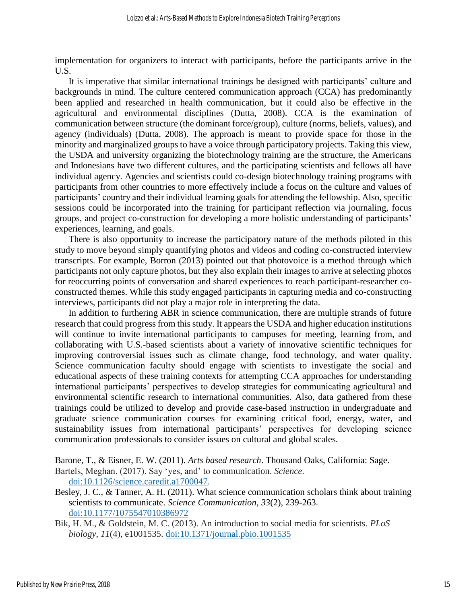implementation for organizers to interact with participants, before the participants arrive in the U.S.

It is imperative that similar international trainings be designed with participants' culture and backgrounds in mind. The culture centered communication approach (CCA) has predominantly been applied and researched in health communication, but it could also be effective in the agricultural and environmental disciplines (Dutta, 2008). CCA is the examination of communication between structure (the dominant force/group), culture (norms, beliefs, values), and agency (individuals) (Dutta, 2008). The approach is meant to provide space for those in the minority and marginalized groups to have a voice through participatory projects. Taking this view, the USDA and university organizing the biotechnology training are the structure, the Americans and Indonesians have two different cultures, and the participating scientists and fellows all have individual agency. Agencies and scientists could co-design biotechnology training programs with participants from other countries to more effectively include a focus on the culture and values of participants' country and their individual learning goals for attending the fellowship. Also, specific sessions could be incorporated into the training for participant reflection via journaling, focus groups, and project co-construction for developing a more holistic understanding of participants' experiences, learning, and goals.

There is also opportunity to increase the participatory nature of the methods piloted in this study to move beyond simply quantifying photos and videos and coding co-constructed interview transcripts. For example, Borron (2013) pointed out that photovoice is a method through which participants not only capture photos, but they also explain their images to arrive at selecting photos for reoccurring points of conversation and shared experiences to reach participant-researcher coconstructed themes. While this study engaged participants in capturing media and co-constructing interviews, participants did not play a major role in interpreting the data.

In addition to furthering ABR in science communication, there are multiple strands of future research that could progress from this study. It appears the USDA and higher education institutions will continue to invite international participants to campuses for meeting, learning from, and collaborating with U.S.-based scientists about a variety of innovative scientific techniques for improving controversial issues such as climate change, food technology, and water quality. Science communication faculty should engage with scientists to investigate the social and educational aspects of these training contexts for attempting CCA approaches for understanding international participants' perspectives to develop strategies for communicating agricultural and environmental scientific research to international communities. Also, data gathered from these trainings could be utilized to develop and provide case-based instruction in undergraduate and graduate science communication courses for examining critical food, energy, water, and sustainability issues from international participants' perspectives for developing science communication professionals to consider issues on cultural and global scales.

Barone, T., & Eisner, E. W. (2011). *Arts based research*. Thousand Oaks, California: Sage.

Bartels, Meghan. (2017). Say 'yes, and' to communication. *Science*. [doi:10.1126/science.caredit.a1700047.](http://www.sciencemag.org/careers/2017/06/say-yes-and-communication)

Besley, J. C., & Tanner, A. H. (2011). What science communication scholars think about training scientists to communicate. *Science Communication*, *33*(2), 239-263. [doi:10.1177/1075547010386972](https://doi.org/10.1177/1075547010386972)

Bik, H. M., & Goldstein, M. C. (2013). An introduction to social media for scientists. *PLoS biology*, *11*(4), e1001535. [doi:10.1371/journal.pbio.1001535](https://doi.org/10.1371/journal.pbio.1001535)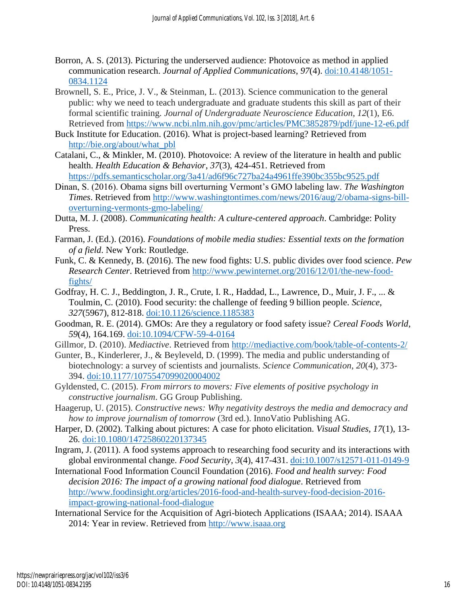- Borron, A. S. (2013). Picturing the underserved audience: Photovoice as method in applied communication research. *Journal of Applied Communications*, *97*(4). [doi:10.4148/1051-](https://doi.org/10.4148/1051-0834.1124) [0834.1124](https://doi.org/10.4148/1051-0834.1124)
- Brownell, S. E., Price, J. V., & Steinman, L. (2013). Science communication to the general public: why we need to teach undergraduate and graduate students this skill as part of their formal scientific training. *Journal of Undergraduate Neuroscience Education*, *12*(1), E6. Retrieved from<https://www.ncbi.nlm.nih.gov/pmc/articles/PMC3852879/pdf/june-12-e6.pdf>
- Buck Institute for Education. (2016). What is project-based learning? Retrieved from [http://bie.org/about/what\\_pbl](http://bie.org/about/what_pbl)
- Catalani, C., & Minkler, M. (2010). Photovoice: A review of the literature in health and public health. *Health Education & Behavior*, *37*(3), 424-451. Retrieved from <https://pdfs.semanticscholar.org/3a41/ad6f96c727ba24a4961ffe390bc355bc9525.pdf>
- Dinan, S. (2016). Obama signs bill overturning Vermont's GMO labeling law. *The Washington Times*. Retrieved from [http://www.washingtontimes.com/news/2016/aug/2/obama-signs-bill](http://www.washingtontimes.com/news/2016/aug/2/obama-signs-bill-overturning-vermonts-gmo-labeling/)[overturning-vermonts-gmo-labeling/](http://www.washingtontimes.com/news/2016/aug/2/obama-signs-bill-overturning-vermonts-gmo-labeling/)
- Dutta, M. J. (2008). *Communicating health: A culture-centered approach*. Cambridge: Polity Press.
- Farman, J. (Ed.). (2016). *Foundations of mobile media studies: Essential texts on the formation of a field*. New York: Routledge.
- Funk, C. & Kennedy, B. (2016). The new food fights: U.S. public divides over food science. *Pew Research Center*. Retrieved from [http://www.pewinternet.org/2016/12/01/the-new-food](http://www.pewinternet.org/2016/12/01/the-new-food-fights/)[fights/](http://www.pewinternet.org/2016/12/01/the-new-food-fights/)
- Godfray, H. C. J., Beddington, J. R., Crute, I. R., Haddad, L., Lawrence, D., Muir, J. F., ... & Toulmin, C. (2010). Food security: the challenge of feeding 9 billion people. *Science*, *327*(5967), 812-818. [doi:10.1126/science.1185383](doi:%2010.1126/science.1185383)
- Goodman, R. E. (2014). GMOs: Are they a regulatory or food safety issue? *Cereal Foods World*, *59*(4), 164.169. [doi:10.1094/CFW-59-4-0164](https://doi.org/10.1094/CFW-59-4-0164)
- Gillmor, D. (2010). *Mediactive*. Retrieved from<http://mediactive.com/book/table-of-contents-2/>
- Gunter, B., Kinderlerer, J., & Beyleveld, D. (1999). The media and public understanding of biotechnology: a survey of scientists and journalists. *Science Communication*, *20*(4), 373- 394. [doi:10.1177/1075547099020004002](https://doi.org/10.1177%2F1075547099020004002)
- Gyldensted, C. (2015). *From mirrors to movers: Five elements of positive psychology in constructive journalism*. GG Group Publishing.
- Haagerup, U. (2015). *Constructive news: Why negativity destroys the media and democracy and how to improve journalism of tomorrow* (3rd ed.). InnoVatio Publishing AG.
- Harper, D. (2002). Talking about pictures: A case for photo elicitation. *Visual Studies*, *17*(1), 13- 26. [doi:10.1080/14725860220137345](https://doi.org/10.1080/14725860220137345)
- Ingram, J. (2011). A food systems approach to researching food security and its interactions with global environmental change. *Food Security*, *3*(4), 417-431. [doi:10.1007/s12571-011-0149-9](https://doi.org/10.1007/s12571-011-0149-9)
- International Food Information Council Foundation (2016). *Food and health survey: Food decision 2016: The impact of a growing national food dialogue*. Retrieved from [http://www.foodinsight.org/articles/2016-food-and-health-survey-food-decision-2016](http://www.foodinsight.org/articles/2016-food-and-health-survey-food-decision-2016-impact-growing-national-food-dialogue) [impact-growing-national-food-dialogue](http://www.foodinsight.org/articles/2016-food-and-health-survey-food-decision-2016-impact-growing-national-food-dialogue)
- International Service for the Acquisition of Agri-biotech Applications (ISAAA; 2014). ISAAA 2014: Year in review. Retrieved from [http://www.isaaa.org](http://www.isaaa.org/)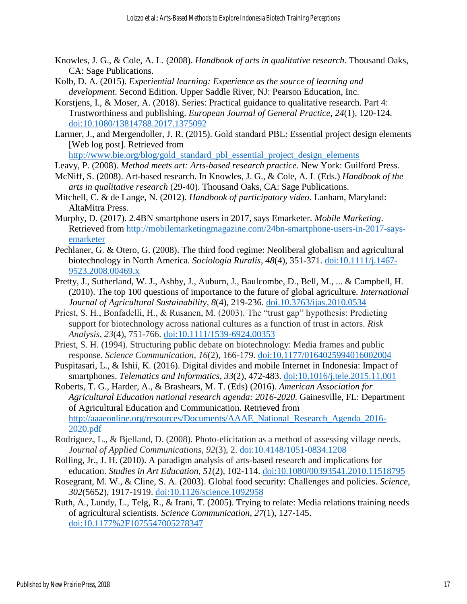- Knowles, J. G., & Cole, A. L. (2008). *Handbook of arts in qualitative research.* Thousand Oaks, CA: Sage Publications.
- Kolb, D. A. (2015). *Experiential learning: Experience as the source of learning and development*. Second Edition. Upper Saddle River, NJ: Pearson Education, Inc.
- Korstjens, I., & Moser, A. (2018). Series: Practical guidance to qualitative research. Part 4: Trustworthiness and publishing. *European Journal of General Practice*, *24*(1), 120-124. [doi:10.1080/13814788.2017.1375092](https://doi.org/10.1080/13814788.2017.1375092)
- Larmer, J., and Mergendoller, J. R. (2015). Gold standard PBL: Essential project design elements [Web log post]. Retrieved from

[http://www.bie.org/blog/gold\\_standard\\_pbl\\_essential\\_project\\_design\\_elements](http://www.bie.org/blog/gold_standard_pbl_essential_project_design_elements)

- Leavy, P. (2008). *Method meets art: Arts-based research practice.* New York: Guilford Press.
- McNiff, S. (2008). Art-based research. In Knowles, J. G., & Cole, A. L (Eds.) *Handbook of the arts in qualitative research* (29-40). Thousand Oaks, CA: Sage Publications.
- Mitchell, C. & de Lange, N. (2012). *Handbook of participatory video*. Lanham, Maryland: AltaMitra Press.
- Murphy, D. (2017). 2.4BN smartphone users in 2017, says Emarketer. *Mobile Marketing*. Retrieved from [http://mobilemarketingmagazine.com/24bn-smartphone-users-in-2017-says](http://mobilemarketingmagazine.com/24bn-smartphone-users-in-2017-says-emarketer)[emarketer](http://mobilemarketingmagazine.com/24bn-smartphone-users-in-2017-says-emarketer)
- Pechlaner, G. & Otero, G. (2008). The third food regime: Neoliberal globalism and agricultural biotechnology in North America. *Sociologia Ruralis*, *48*(4), 351-371. [doi:10.1111/j.1467-](https://onlinelibrary.wiley.com/doi/pdf/10.1111/j.1467-9523.2008.00469.x) [9523.2008.00469.x](https://onlinelibrary.wiley.com/doi/pdf/10.1111/j.1467-9523.2008.00469.x)
- Pretty, J., Sutherland, W. J., Ashby, J., Auburn, J., Baulcombe, D., Bell, M., ... & Campbell, H. (2010). The top 100 questions of importance to the future of global agriculture. *International Journal of Agricultural Sustainability*, *8*(4), 219-236. [doi.10.3763/ijas.2010.0534](https://doi.org/10.3763/ijas.2010.0534)
- Priest, S. H., Bonfadelli, H., & Rusanen, M. (2003). The "trust gap" hypothesis: Predicting support for biotechnology across national cultures as a function of trust in actors. *Risk Analysis*, *23*(4), 751-766. [doi:10.1111/1539-6924.00353](https://doi.org/10.1111/1539-6924.00353)
- Priest, S. H. (1994). Structuring public debate on biotechnology: Media frames and public response. *Science Communication*, *16*(2), 166-179. [doi:10.1177/0164025994016002004](https://doi.org/10.1177/0164025994016002004)
- Puspitasari, L., & Ishii, K. (2016). Digital divides and mobile Internet in Indonesia: Impact of smartphones. *Telematics and Informatics*, *33*(2), 472-483. [doi:10.1016/j.tele.2015.11.001](https://doi.org/10.1016/j.tele.2015.11.001)
- Roberts, T. G., Harder, A., & Brashears, M. T. (Eds) (2016). *American Association for Agricultural Education national research agenda: 2016-2020.* Gainesville, FL: Department of Agricultural Education and Communication. Retrieved from [http://aaaeonline.org/resources/Documents/AAAE\\_National\\_Research\\_Agenda\\_2016-](http://aaaeonline.org/resources/Documents/AAAE_National_Research_Agenda_2016-2020.pdf) [2020.pdf](http://aaaeonline.org/resources/Documents/AAAE_National_Research_Agenda_2016-2020.pdf)
- Rodriguez, L., & Bjelland, D. (2008). Photo-elicitation as a method of assessing village needs. *Journal of Applied Communications*, *92*(3), 2. [doi:10.4148/1051-0834.1208](https://doi.org/10.4148/1051-0834.1208)
- Rolling, Jr., J. H. (2010). A paradigm analysis of arts-based research and implications for education. *Studies in Art Education*, *51*(2), 102-114. [doi:10.1080/00393541.2010.11518795](https://doi.org/10.1080/00393541.2010.11518795)
- Rosegrant, M. W., & Cline, S. A. (2003). Global food security: Challenges and policies. *Science*, *302*(5652), 1917-1919. [doi:10.1126/science.1092958](doi:%2010.1126/science.1092958)
- Ruth, A., Lundy, L., Telg, R., & Irani, T. (2005). Trying to relate: Media relations training needs of agricultural scientists. *Science Communication*, *27*(1), 127-145. [doi:10.1177%2F1075547005278347](https://doi.org/10.1177%2F1075547005278347)